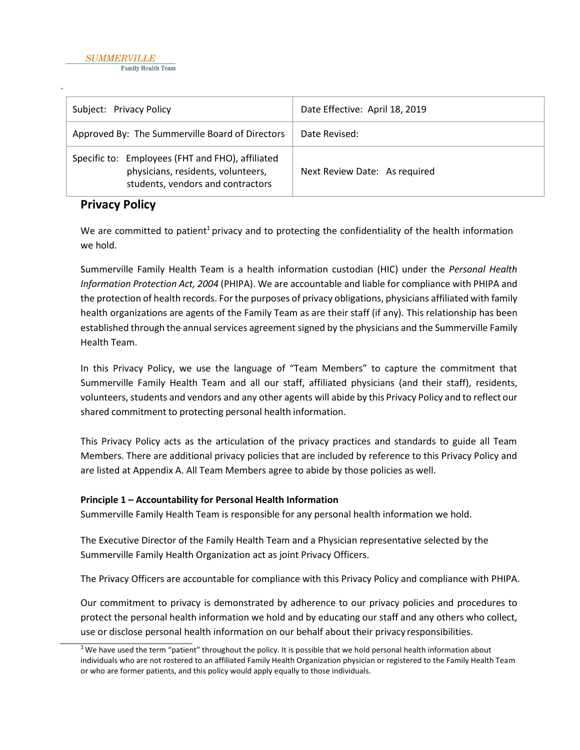| Subject: Privacy Policy                                                                                                     | Date Effective: April 18, 2019 |
|-----------------------------------------------------------------------------------------------------------------------------|--------------------------------|
| Approved By: The Summerville Board of Directors                                                                             | Date Revised:                  |
| Specific to: Employees (FHT and FHO), affiliated<br>physicians, residents, volunteers,<br>students, vendors and contractors | Next Review Date: As required  |

# **Privacy Policy**

We are committed to patient<sup>1</sup> privacy and to protecting the confidentiality of the health information we hold.

Summerville Family Health Team is a health information custodian (HIC) under the *Personal Health Information Protection Act, 2004* (PHIPA). We are accountable and liable for compliance with PHIPA and the protection of health records. For the purposes of privacy obligations, physicians affiliated with family health organizations are agents of the Family Team as are their staff (if any). This relationship has been established through the annual services agreement signed by the physicians and the Summerville Family Health Team.

In this Privacy Policy, we use the language of "Team Members" to capture the commitment that Summerville Family Health Team and all our staff, affiliated physicians (and their staff), residents, volunteers, students and vendors and any other agents will abide by this Privacy Policy and to reflect our shared commitment to protecting personal health information.

This Privacy Policy acts as the articulation of the privacy practices and standards to guide all Team Members. There are additional privacy policies that are included by reference to this Privacy Policy and are listed at Appendix A. All Team Members agree to abide by those policies as well.

## **Principle 1 – Accountability for Personal Health Information**

Summerville Family Health Team is responsible for any personal health information we hold.

The Executive Director of the Family Health Team and a Physician representative selected by the Summerville Family Health Organization act as joint Privacy Officers.

The Privacy Officers are accountable for compliance with this Privacy Policy and compliance with PHIPA.

Our commitment to privacy is demonstrated by adherence to our privacy policies and procedures to protect the personal health information we hold and by educating our staff and any others who collect, use or disclose personal health information on our behalf about their privacy responsibilities.

 $1$  We have used the term "patient" throughout the policy. It is possible that we hold personal health information about individuals who are not rostered to an affiliated Family Health Organization physician or registered to the Family Health Team or who are former patients, and this policy would apply equally to those individuals.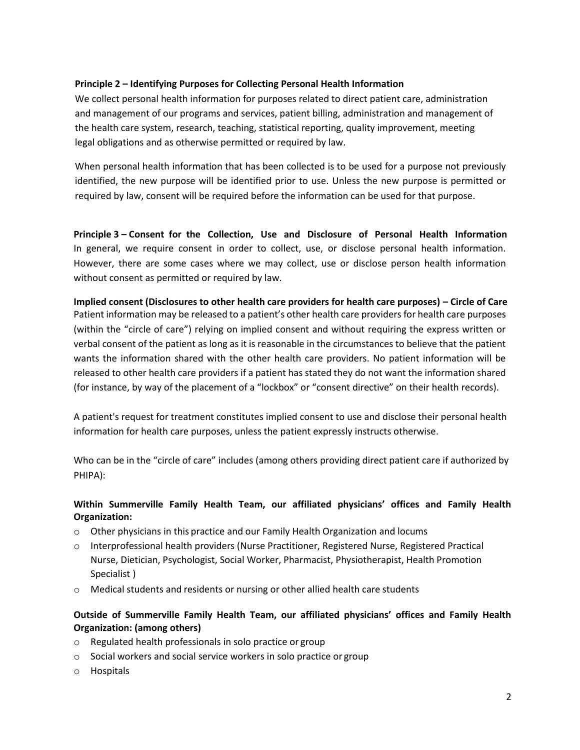### **Principle 2 – Identifying Purposes for Collecting Personal Health Information**

We collect personal health information for purposes related to direct patient care, administration and management of our programs and services, patient billing, administration and management of the health care system, research, teaching, statistical reporting, quality improvement, meeting legal obligations and as otherwise permitted or required by law.

When personal health information that has been collected is to be used for a purpose not previously identified, the new purpose will be identified prior to use. Unless the new purpose is permitted or required by law, consent will be required before the information can be used for that purpose.

**Principle 3 – Consent for the Collection, Use and Disclosure of Personal Health Information**  In general, we require consent in order to collect, use, or disclose personal health information. However, there are some cases where we may collect, use or disclose person health information without consent as permitted or required by law.

**Implied consent (Disclosures to other health care providers for health care purposes) – Circle of Care** Patient information may be released to a patient's other health care providers for health care purposes (within the "circle of care") relying on implied consent and without requiring the express written or verbal consent of the patient as long as it is reasonable in the circumstances to believe that the patient wants the information shared with the other health care providers. No patient information will be released to other health care providers if a patient has stated they do not want the information shared (for instance, by way of the placement of a "lockbox" or "consent directive" on their health records).

A patient's request for treatment constitutes implied consent to use and disclose their personal health information for health care purposes, unless the patient expressly instructs otherwise.

Who can be in the "circle of care" includes (among others providing direct patient care if authorized by PHIPA):

## **Within Summerville Family Health Team, our affiliated physicians' offices and Family Health Organization:**

- o Other physicians in this practice and our Family Health Organization and locums
- o Interprofessional health providers (Nurse Practitioner, Registered Nurse, Registered Practical Nurse, Dietician, Psychologist, Social Worker, Pharmacist, Physiotherapist, Health Promotion Specialist )
- o Medical students and residents or nursing or other allied health care students

## **Outside of Summerville Family Health Team, our affiliated physicians' offices and Family Health Organization: (among others)**

- o Regulated health professionals in solo practice or group
- o Social workers and social service workers in solo practice or group
- o Hospitals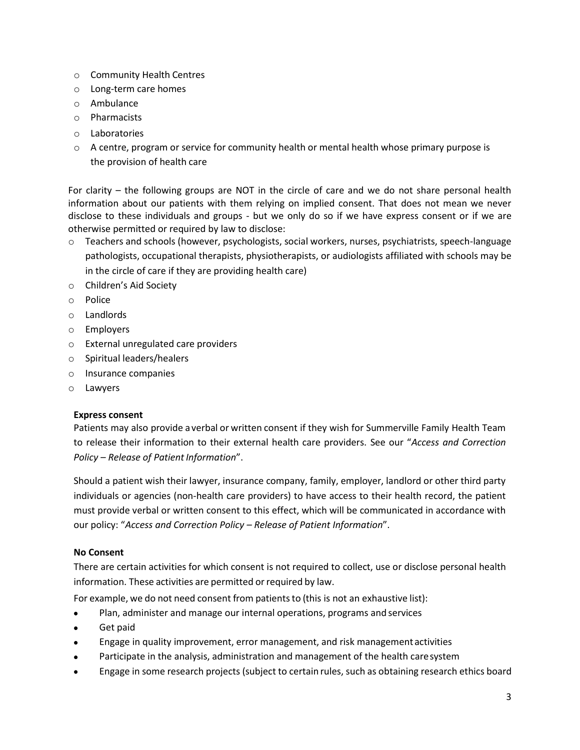- o Community Health Centres
- o Long-term care homes
- o Ambulance
- o Pharmacists
- o Laboratories
- $\circ$  A centre, program or service for community health or mental health whose primary purpose is the provision of health care

For clarity – the following groups are NOT in the circle of care and we do not share personal health information about our patients with them relying on implied consent. That does not mean we never disclose to these individuals and groups - but we only do so if we have express consent or if we are otherwise permitted or required by law to disclose:

- o Teachers and schools (however, psychologists, social workers, nurses, psychiatrists, speech-language pathologists, occupational therapists, physiotherapists, or audiologists affiliated with schools may be in the circle of care if they are providing health care)
- o Children's Aid Society
- o Police
- o Landlords
- o Employers
- o External unregulated care providers
- o Spiritual leaders/healers
- o Insurance companies
- o Lawyers

### **Express consent**

Patients may also provide a verbal or written consent if they wish for Summerville Family Health Team to release their information to their external health care providers. See our "*Access and Correction Policy – Release of Patient Information".* 

Should a patient wish their lawyer, insurance company, family, employer, landlord or other third party individuals or agencies (non-health care providers) to have access to their health record, the patient must provide verbal or written consent to this effect, which will be communicated in accordance with our policy: "*Access and Correction Policy – Release of Patient Information*".

### **No Consent**

There are certain activities for which consent is not required to collect, use or disclose personal health information. These activities are permitted or required by law.

For example, we do not need consent from patients to (this is not an exhaustive list):

- Plan, administer and manage our internal operations, programs and services
- Get paid
- Engage in quality improvement, error management, and risk management activities
- Participate in the analysis, administration and management of the health caresystem
- Engage in some research projects (subject to certain rules, such as obtaining research ethics board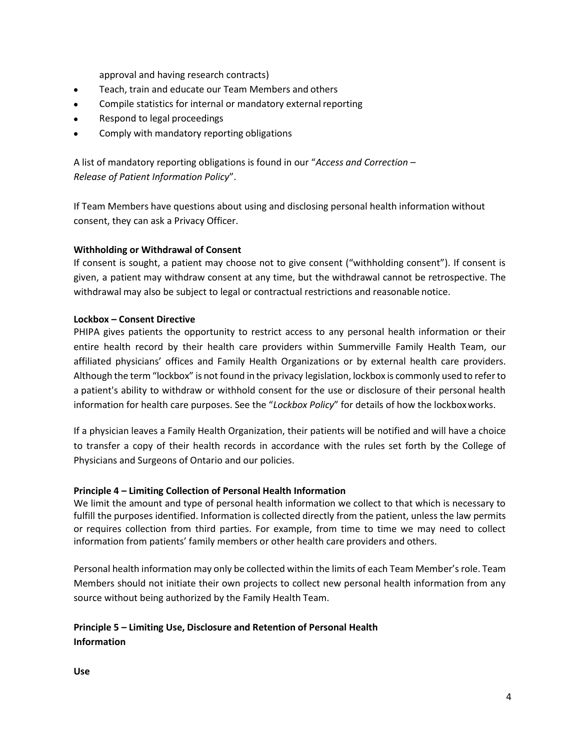approval and having research contracts)

- Teach, train and educate our Team Members and others
- Compile statistics for internal or mandatory external reporting
- Respond to legal proceedings
- Comply with mandatory reporting obligations

A list of mandatory reporting obligations is found in our "*Access and Correction – Release of Patient Information Policy*".

If Team Members have questions about using and disclosing personal health information without consent, they can ask a Privacy Officer.

### **Withholding or Withdrawal of Consent**

If consent is sought, a patient may choose not to give consent ("withholding consent"). If consent is given, a patient may withdraw consent at any time, but the withdrawal cannot be retrospective. The withdrawal may also be subject to legal or contractual restrictions and reasonable notice.

#### **Lockbox – Consent Directive**

PHIPA gives patients the opportunity to restrict access to any personal health information or their entire health record by their health care providers within Summerville Family Health Team, our affiliated physicians' offices and Family Health Organizations or by external health care providers. Although the term"lockbox" is not found in the privacy legislation, lockbox is commonly used to referto a patient's ability to withdraw or withhold consent for the use or disclosure of their personal health information for health care purposes. See the "*Lockbox Policy*" for details of how the lockboxworks.

If a physician leaves a Family Health Organization, their patients will be notified and will have a choice to transfer a copy of their health records in accordance with the rules set forth by the College of Physicians and Surgeons of Ontario and our policies.

### **Principle 4 – Limiting Collection of Personal Health Information**

We limit the amount and type of personal health information we collect to that which is necessary to fulfill the purposes identified. Information is collected directly from the patient, unless the law permits or requires collection from third parties. For example, from time to time we may need to collect information from patients' family members or other health care providers and others.

Personal health information may only be collected within the limits of each Team Member's role. Team Members should not initiate their own projects to collect new personal health information from any source without being authorized by the Family Health Team.

## **Principle 5 – Limiting Use, Disclosure and Retention of Personal Health Information**

**Use**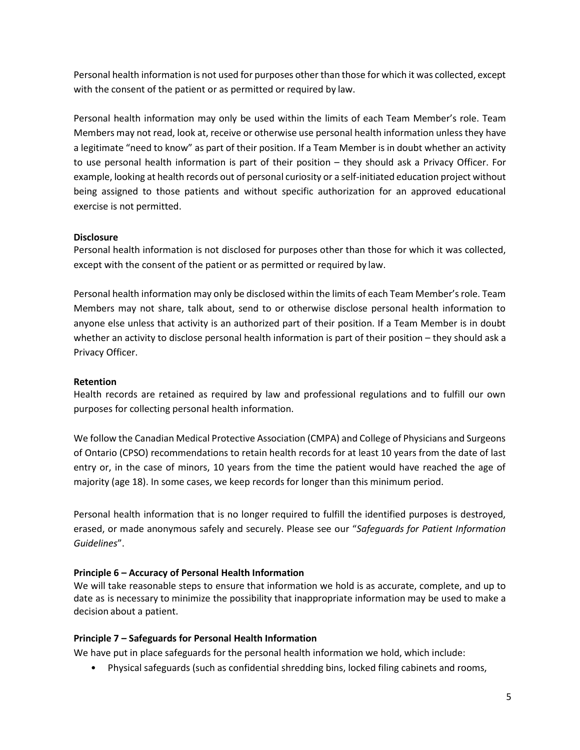Personal health information is not used for purposes other than those for which it was collected, except with the consent of the patient or as permitted or required by law.

Personal health information may only be used within the limits of each Team Member's role. Team Members may not read, look at, receive or otherwise use personal health information unless they have a legitimate "need to know" as part of their position. If a Team Member is in doubt whether an activity to use personal health information is part of their position – they should ask a Privacy Officer. For example, looking at health records out of personal curiosity or a self-initiated education project without being assigned to those patients and without specific authorization for an approved educational exercise is not permitted.

### **Disclosure**

Personal health information is not disclosed for purposes other than those for which it was collected, except with the consent of the patient or as permitted or required by law.

Personal health information may only be disclosed within the limits of each Team Member's role. Team Members may not share, talk about, send to or otherwise disclose personal health information to anyone else unless that activity is an authorized part of their position. If a Team Member is in doubt whether an activity to disclose personal health information is part of their position – they should ask a Privacy Officer.

### **Retention**

Health records are retained as required by law and professional regulations and to fulfill our own purposes for collecting personal health information.

We follow the Canadian Medical Protective Association (CMPA) and College of Physicians and Surgeons of Ontario (CPSO) recommendations to retain health records for at least 10 years from the date of last entry or, in the case of minors, 10 years from the time the patient would have reached the age of majority (age 18). In some cases, we keep records for longer than this minimum period.

Personal health information that is no longer required to fulfill the identified purposes is destroyed, erased, or made anonymous safely and securely. Please see our "*Safeguards for Patient Information Guidelines*".

## **Principle 6 – Accuracy of Personal Health Information**

We will take reasonable steps to ensure that information we hold is as accurate, complete, and up to date as is necessary to minimize the possibility that inappropriate information may be used to make a decision about a patient.

### **Principle 7 – Safeguards for Personal Health Information**

We have put in place safeguards for the personal health information we hold, which include:

• Physical safeguards (such as confidential shredding bins, locked filing cabinets and rooms,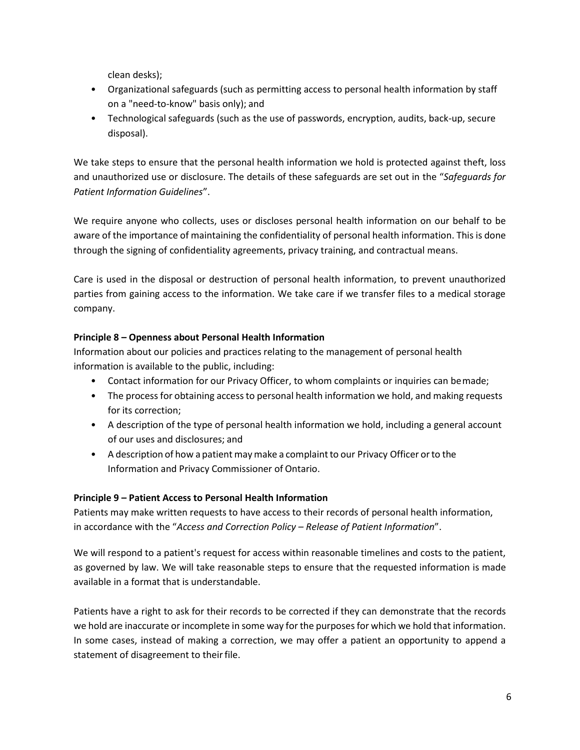clean desks);

- Organizational safeguards (such as permitting access to personal health information by staff on a "need-to-know" basis only); and
- Technological safeguards (such as the use of passwords, encryption, audits, back-up, secure disposal).

We take steps to ensure that the personal health information we hold is protected against theft, loss and unauthorized use or disclosure. The details of these safeguards are set out in the "*Safeguards for Patient Information Guidelines*".

We require anyone who collects, uses or discloses personal health information on our behalf to be aware of the importance of maintaining the confidentiality of personal health information. This is done through the signing of confidentiality agreements, privacy training, and contractual means.

Care is used in the disposal or destruction of personal health information, to prevent unauthorized parties from gaining access to the information. We take care if we transfer files to a medical storage company.

## **Principle 8 – Openness about Personal Health Information**

Information about our policies and practices relating to the management of personal health information is available to the public, including:

- Contact information for our Privacy Officer, to whom complaints or inquiries can bemade;
- The process for obtaining access to personal health information we hold, and making requests for its correction;
- A description of the type of personal health information we hold, including a general account of our uses and disclosures; and
- A description of how a patient may make a complaint to our Privacy Officer or to the Information and Privacy Commissioner of Ontario.

## **Principle 9 – Patient Access to Personal Health Information**

Patients may make written requests to have access to their records of personal health information, in accordance with the "*Access and Correction Policy – Release of Patient Information*".

We will respond to a patient's request for access within reasonable timelines and costs to the patient, as governed by law. We will take reasonable steps to ensure that the requested information is made available in a format that is understandable.

Patients have a right to ask for their records to be corrected if they can demonstrate that the records we hold are inaccurate or incomplete in some way for the purposes for which we hold that information. In some cases, instead of making a correction, we may offer a patient an opportunity to append a statement of disagreement to their file.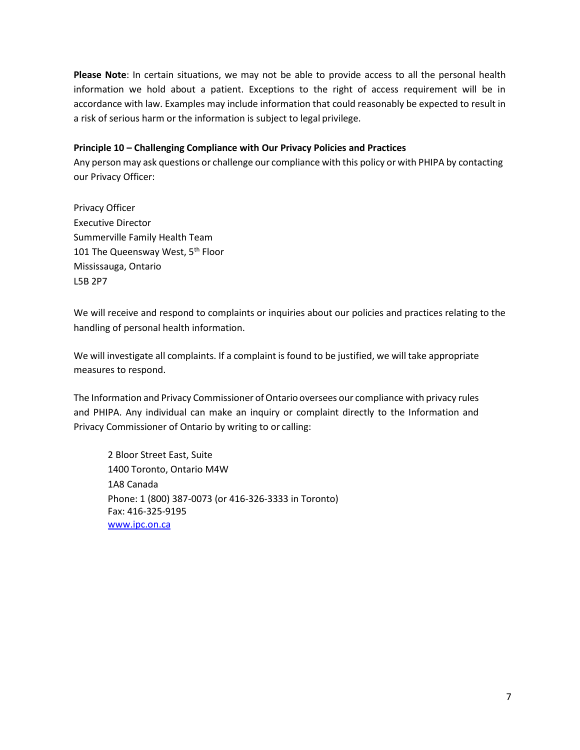**Please Note**: In certain situations, we may not be able to provide access to all the personal health information we hold about a patient. Exceptions to the right of access requirement will be in accordance with law. Examples may include information that could reasonably be expected to result in a risk of serious harm or the information is subject to legal privilege.

### **Principle 10 – Challenging Compliance with Our Privacy Policies and Practices**

Any person may ask questions or challenge our compliance with this policy or with PHIPA by contacting our Privacy Officer:

Privacy Officer Executive Director Summerville Family Health Team 101 The Queensway West, 5<sup>th</sup> Floor Mississauga, Ontario L5B 2P7

We will receive and respond to complaints or inquiries about our policies and practices relating to the handling of personal health information.

We will investigate all complaints. If a complaint is found to be justified, we will take appropriate measures to respond.

The Information and Privacy Commissioner of Ontario oversees our compliance with privacy rules and PHIPA. Any individual can make an inquiry or complaint directly to the Information and Privacy Commissioner of Ontario by writing to or calling:

2 Bloor Street East, Suite 1400 Toronto, Ontario M4W 1A8 Canada Phone: 1 (800) 387-0073 (or 416-326-3333 in Toronto) Fax: 416-325-9195 [www.ipc.on.ca](http://www.ipc.on.ca/)